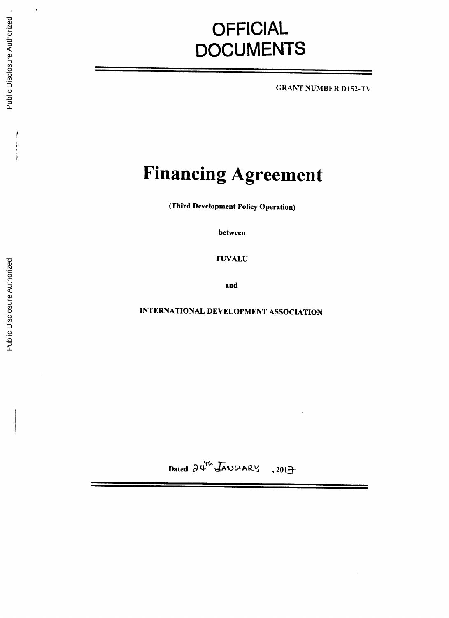# **OFFICIAL DOCUMENTS**

**GRANT NUMBER** D152-TV

# **Financing Agreement**

(Third Development Policy Operation)

between

**TUVALU**

and

INTERNATIONAL **DEVELOPMENT ASSOCIATION**

Dated  $\partial \Psi^{\text{th}}$  JANUARY, 2017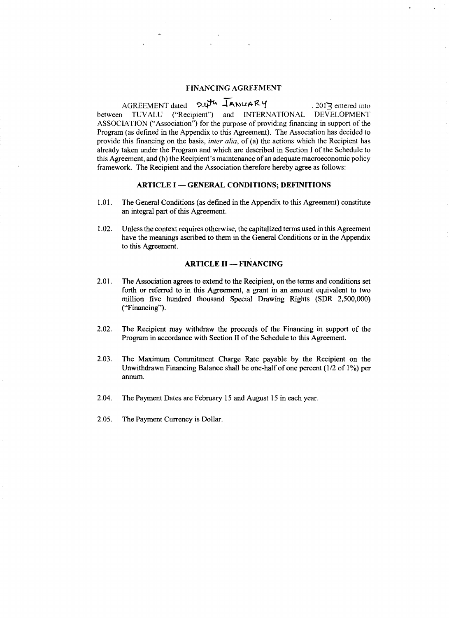# **FINANCING AGREEMENT**

AGREEMENT dated 24th JANUARY . 2017 entered into between **TUVALU** ("Recipient") and **INTERNATIONAL DEVELOPMENT ASSOCIATION** ("Association") for the purpose of providing financing in support of the Program (as defined in the Appendix to this Agreement). The Association has decided to provide this financing on the basis, *inter alia,* of (a) the actions which the Recipient has already taken under the Program and which are described in Section **I** of the Schedule to this Agreement, and **(b)** the Recipient's maintenance of an adequate macroeconomic policy framework. The Recipient and the Association therefore hereby agree as follows:

### **ARTICLE I - GENERAL CONDITIONS; DEFINITIONS**

- **1.01.** The General Conditions (as defined in the Appendix to this Agreement) constitute an integral part of this Agreement.
- 1.02. Unless the context requires otherwise, the capitalized terms used in this Agreement have the meanings ascribed to them in the General Conditions or in the Appendix to this Agreement.

# **ARTICLE II - FINANCING**

- 2.01. The Association agrees to extend to the Recipient, on the terms and conditions set forth or referred to in this Agreement, a grant in an amount equivalent to two million five hundred thousand Special Drawing Rights (SDR **2,500,000)** ("Financing").
- 2.02. The Recipient may withdraw the proceeds of the Financing in support of the Program in accordance with Section II of the Schedule to this Agreement.
- **2.03.** The Maximum Commitment Charge Rate payable **by** the Recipient on the Unwithdrawn Financing Balance shall be one-half of one percent **(1/2** of **1%)** per annum.
- 2.04. The Payment Dates are February **15** and August **15** in each year.
- **2.05.** The Payment Currency is Dollar.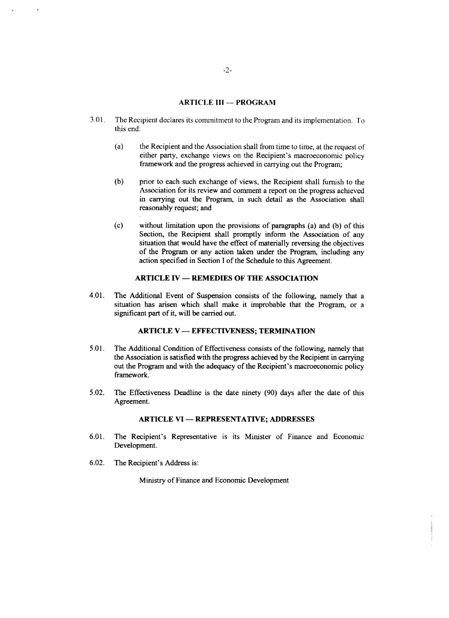# **ARTICLE III - PROGRAM**

- **3.01.** The Recipient declares its commitment to the Program and its implementation. To this end:
	- (a) the Recipient and the Association shall from time to time, at the request **of** either party, exchange views on the Recipient's macroeconomic policy framework and the progress achieved in carrying out the Program;
	- **(b)** prior to each such exchange of views, the Recipient shall furnish to the Association for its review and comment a report on the progress achieved in carrying out the Program, in such detail as the Association shall reasonably request; and
	- **(c)** without limitation upon the provisions of paragraphs (a) and **(b)** of this Section, the Recipient shall promptly inform the Association of any situation that would have the effect of materially reversing the objectives of the Program or any action taken under the Program, including any action specified in Section **I** of the Schedule to this Agreement.

# **ARTICLE IV - REMEDIES OF THE ASSOCIATION**

4.01. The Additional Event of Suspension consists of the following, namely that a situation has arisen which shall make it improbable that the Program, or a significant part of it, will be carried out.

# **ARTICLE** V **- EFFECTIVENESS; TERMINATION**

- *5.01.* The Additional Condition of Effectiveness consists of the following, namely that the Association is satisfied with the progress achieved **by** the Recipient in carrying out the Program and with the adequacy of the Recipient's macroeconomic policy framework.
- *5.02.* The Effectiveness Deadline is the date ninety **(90)** days after the date of this Agreement.

# **ARTICLE VI - REPRESENTATIVE; ADDRESSES**

- **6.01.** The Recipient's Representative is its Minister of Finance and Economic Development.
- **6.02.** The Recipient's Address is:

Ministry of Finance and Economic Development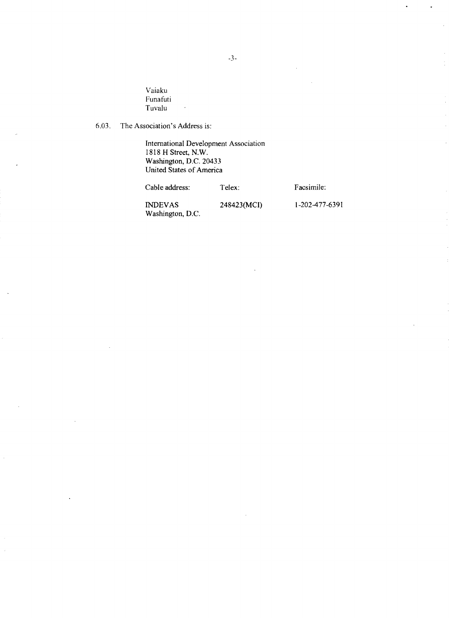Vaiaku Funafuti Tuvalu

**1818** H Street, N.W. Washington, **D.C.** 20433 United States of America

Washington, **D.C.**

**6.03.** The Association's Address is:

Cable address: Telex: Facsimile:

**INDEVAS** 248423(MCI) **1-202-477-6391**

*-3-*

International Development Association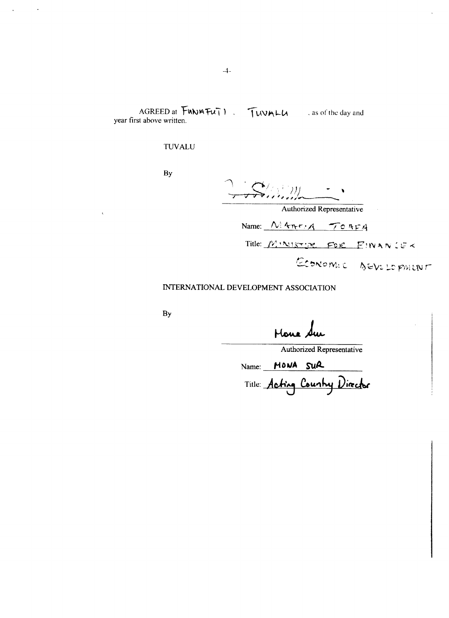AGREED at **FUNA TUT** 1. **IL(VALL** as of the day and year first above written.

# **TUVALU**

**By**

75000000

Authorized Representative

Name: *A,, <sup>4</sup> r,-A* **-/ C Yk**

Title:  $M \cdot N$  is  $m$  FOR  $E$  in a  $N$  LE <

ECONOMIC DEVELOPMENT

# **INTERNATIONAL DEVELOPMENT** ASSOCIATION

**By**

Hour Sur

Authorized Representative

Name: **HONA** SUR Title: Acting Country Director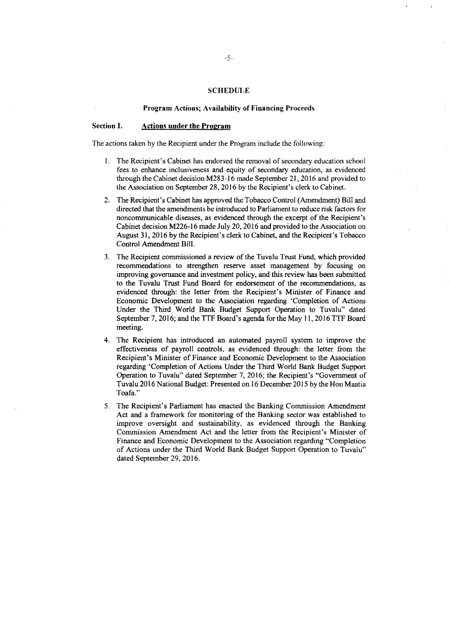#### **SCHEDULE**

#### **Program Actions; Availability of Financing Proceeds**

#### **Section 1. Actions under the Program**

The actions taken **by** the Recipient under the Program include the following:

- 1. The Recipient's Cabinet has endorsed the removal of secondary education school fees to enhance inclusiveness and equity of secondary education, as evidenced through the Cabinet decision  $M283-16$  made September 21, 201
- 2. The Recipient's Cabinet has approved the Tobacco Control (Amendment) Bill and directed that the amendments be introduced to Parliament to reduce risk factors for noncommunicable diseases, as evidenced through the excerp
- 3. The Recipient commissioned a review of the Tuvalu Trust Fund, which provided recommendations to strengthen reserve asset management by focusing on improving governance and investment policy, and this review has been sub evidenced through: the letter from the Recipient's Minister of Finance and Economic Development to the Association regarding 'Completion of Actions Under the Third World Bank Budget Support Operation to Tuvalu" dated Septe
- 4. The Recipient has introduced an automated payroll system to improve the effectiveness of payroll controls, as evidenced through: the letter from the Recipient's Minister of Finance and Economic Development to the Associ
- 5. The Recipient's Parliament has enacted the Banking Commission Amendment<br>Act and a framework for monitoring of the Banking sector was established to<br>improve oversight and sustainability, as evidenced through the Banking<br>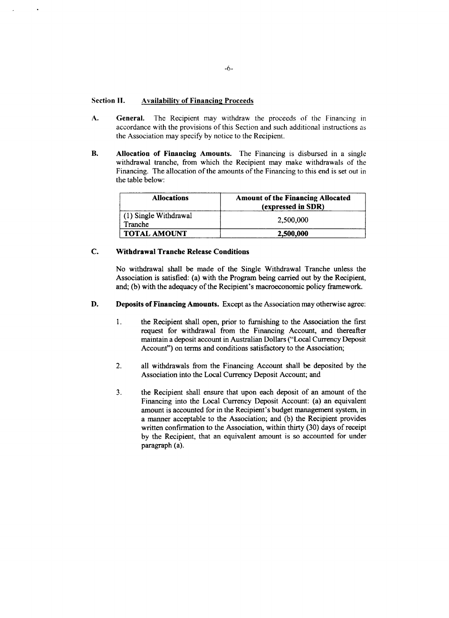# **Section II.** Availability of Financing Proceeds

- **A. General.** The Recipient may withdraw the proceeds of the Financing in accordance with the provisions of this Section and such additional instructions as the Association may specify **by** notice to the Recipient.
- B. **Allocation of Financing Amounts. The** Financing is disbursed in a single withdrawal tranche, from which the Recipient may make withdrawals of the Financing. The allocation of the amounts of the Financing to this end is set out in the table below:

| <b>Allocations</b>               | <b>Amount of the Financing Allocated</b><br>(expressed in SDR) |
|----------------------------------|----------------------------------------------------------------|
| (1) Single Withdrawal<br>Tranche | 2,500,000                                                      |
| <b>TOTAL AMOUNT</b>              | 2,500,000                                                      |

# **C. Withdrawal Tranche Release Conditions**

No withdrawal shall be made of the Single Withdrawal Tranche unless the Association is satisfied: (a) with the Program being carried out **by** the Recipient, and; **(b)** with the adequacy of the Recipient's macroeconomic policy framework.

- **D. Deposits of Financing Amounts.** Except as the Association may otherwise agree:
	- **I.** the Recipient shall open, prior to furnishing to the Association the first request for withdrawal from the Financing Account, and thereafter maintain a deposit account in Australian Dollars ("Local Currency Deposit Account") on terms and conditions satisfactory to the Association;
	- 2. all withdrawals from the Financing Account shall be deposited **by** the Association into the Local Currency Deposit Account; and
	- **3.** the Recipient shall ensure that upon each deposit of an amount of the Financing into the Local Currency Deposit Account: (a) an equivalent amount is accounted for in the Recipient's budget management system, in a manner acceptable to the Association; and **(b)** the Recipient provides written confirmation to the Association, within thirty **(30)** days of receipt **by** the Recipient, that an equivalent amount is so accounted for under paragraph (a).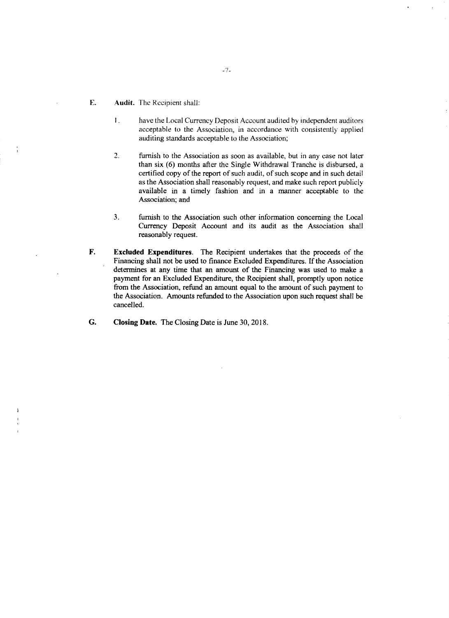- **E. Audit.** The Recipient shall:
	- **I.** have the Local Currency Deposit Account audited **by** independent auditors acceptable to the Association, in accordance with consistently applied auditing standards acceptable to the Association;
	- 2. furnish to the Association as soon as available, but in any case not later than six **(6)** months after the Single Withdrawal Tranche is disbursed, a certified copy of the report of such audit, of such scope and in such detail as the Association shall reasonably request, and make such report publicly available in a timely fashion and in a manner acceptable to the Association; and
	- **3.** furnish to the Association such other information concerning the Local Currency Deposit Account and its audit as the Association shall reasonably request.
- F. **Excluded Expenditures.** The Recipient undertakes that the proceeds of the Financing shall not be used to finance Excluded Expenditures. **If** the Association determines at any time that an amount of the Financing was used to make a payment for an Excluded Expenditure, the Recipient shall, promptly upon notice from the Association, refund an amount equal to the amount of such payment to the Association. Amounts refunded to the Association upon such request shall be cancelled.
- **G. Closing Date.** The Closing Date is June **30, 2018.**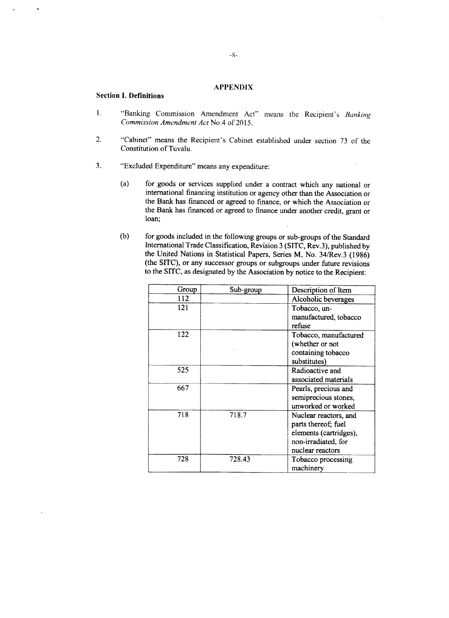# **APPENDIX**

#### **Section I. Definitions**

- 1. "Banking Commission Amendment Act" means the Recipient's Banking *Commission Amendment Act* No.4 of **2015.**
- 2. "Cabinet" means the Recipient's Cabinet established under section **73** of the Constitution of Tuvalu.
- **3.** "Excluded Expenditure" means any expenditure:
	- (a) for goods or services supplied under a contract which any national or international financing institution or agency other than the Association or the Bank has financed or agreed to finance, or which the Association or the Bank has financed or agreed to finance under another credit, grant or loan;
	- **(b)** for goods included in the following groups or sub-groups of the Standard International Trade Classification, Revision **3 (SITC,** Rev.3), published **by** the United Nations in Statistical Papers, Series M, No. 34/Rev.3 **(1986)** (the **SITC),** or any successor groups or subgroups under future revisions to the SITC, as designated **by** the Association **by** notice to the Recipient:

| Group | Sub-group | Description of Item    |
|-------|-----------|------------------------|
| 112   |           | Alcoholic beverages    |
| 121   |           | Tobacco, un-           |
|       |           | manufactured, tobacco  |
|       |           | refuse                 |
| 122   |           | Tobacco, manufactured  |
|       |           | (whether or not        |
|       |           | containing tobacco     |
|       |           | substitutes)           |
| 525   |           | Radioactive and        |
|       |           | associated materials   |
| 667   |           | Pearls, precious and   |
|       |           | semiprecious stones,   |
|       |           | unworked or worked     |
| 718   | 718.7     | Nuclear reactors, and  |
|       |           | parts thereof; fuel    |
|       |           | elements (cartridges), |
|       |           | non-irradiated, for    |
|       |           | nuclear reactors       |
| 728   | 728.43    | Tobacco processing     |
|       |           | machinery              |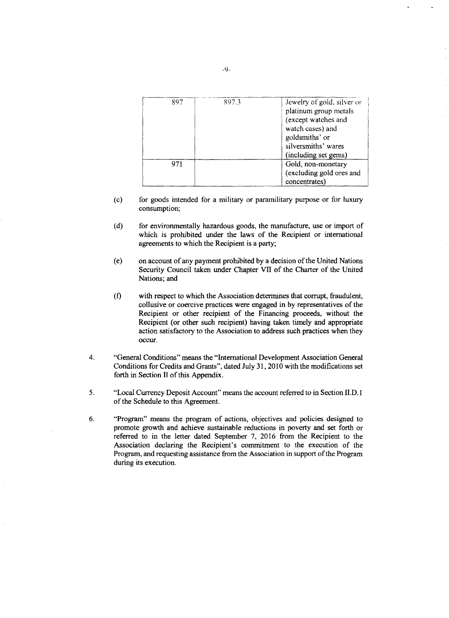| 897 | 897.3 | Jewelry of gold, silver or<br>platinum group metals<br>(except watches and<br>watch cases) and<br>goldsmiths' or<br>silversmiths' wares<br>(including set gems) |
|-----|-------|-----------------------------------------------------------------------------------------------------------------------------------------------------------------|
| 971 |       | Gold, non-monetary<br>(excluding gold ores and<br>concentrates)                                                                                                 |

- (c) for goods intended for a military or paramilitary purpose or for luxury consumption;
- **(d)** for environmentally hazardous goods, the manufacture, use or import of which is prohibited under the laws of the Recipient or international agreements to which the Recipient is a party;
- (e) on account of any payment prohibited **by** a decision of the United Nations Security Council taken under Chapter VII of the Charter of the United Nations; and
- **(f)** with respect to which the Association determines that corrupt, fraudulent, collusive or coercive practices were engaged in **by** representatives of the Recipient or other recipient of the Financing proceeds, without the Recipient (or other such recipient) having taken timely and appropriate action satisfactory to the Association to address such practices when they occur.
- 4. "General Conditions" means the "International Development Association General Conditions for Credits and Grants", dated July **31,** 2010 with the modifications set forth **in** Section II of this Appendix.
- **5.** "Local Currency Deposit Account" means the account referred to in Section **II.D.** <sup>1</sup> of the Schedule to this Agreement.
- **6.** "Program" means the program of actions, objectives and policies designed to promote growth and achieve sustainable reductions in poverty and set forth or referred to in the letter dated September **7, 2016** from the Recipient to the Association declaring the Recipient's commitment to the execution of the Program, and requesting assistance from the Association in support of the Program during its execution.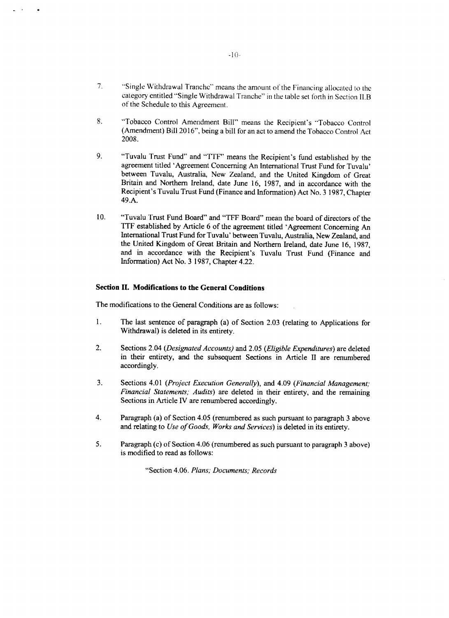- **7.** "Single Withdrawal Tranche" means the amount of the Financing allocated to the category entitled "Single Withdrawal Tranche" in the table set forth in Section IL.B of the Schedule to this Agreement.
- **8.** "Tobacco Control Amendment Bill" means the Recipient's "Tobacco Control (Amendment) Bill **2016",** being a bill for an act to amend the Tobacco Control Act **2008.**
- **9.** "Tuvalu Trust Fund" and "TTF" means the Recipient's fund established **by** the agreement titled 'Agreement Concerning An International Trust Fund for Tuvalu' between Tuvalu, Australia, New Zealand, and the United Kingdom of Great Britain and Northern Ireland, date June **16, 1987,** and in accordance with the Recipient's Tuvalu Trust Fund (Finance and Information) Act No. **3 1987,** Chapter 49.A.
- **10.** "Tuvalu Trust Fund Board" and "TFF Board" mean the board of directors of the TTF established **by** Article **6** of the agreement titled 'Agreement Concerning An International Trust Fund for Tuvalu' between Tuvalu, Australia, New Zealand, and the United Kingdom of Great Britain and Northern Ireland, date June **16, 1987,** and in accordance with the Recipient's Tuvalu Trust Fund (Finance and Information) Act No. **3 1987,** Chapter 4.22.

### **Section II. Modifications to the General Conditions**

The modifications to the General Conditions are as follows:

- **1.** The last sentence of paragraph (a) of Section **2.03** (relating to Applications for Withdrawal) is deleted in its entirety.
- 2. Sections 2.04 *(Designated Accounts)* and **2.05** *(Eligible Expenditures)* are deleted in their entirety, and the subsequent Sections in Article II are renumbered accordingly.
- **3.** Sections 4.01 *(Project Execution Generally),* and 4.09 *(Financial Management; Financial Statements; Audits)* are deleted in their entirety, and the remaining Sections in Article IV are renumbered accordingly.
- 4. Paragraph (a) of Section 4.05 (renumbered as such pursuant to paragraph **3** above and relating to *Use of Goods, Works and Services)* is deleted in its entirety.
- *5.* Paragraph (c) of Section 4.06 (renumbered as such pursuant to paragraph **3** above) is modified to read as follows:

"Section 4.06. *Plans; Documents; Records*